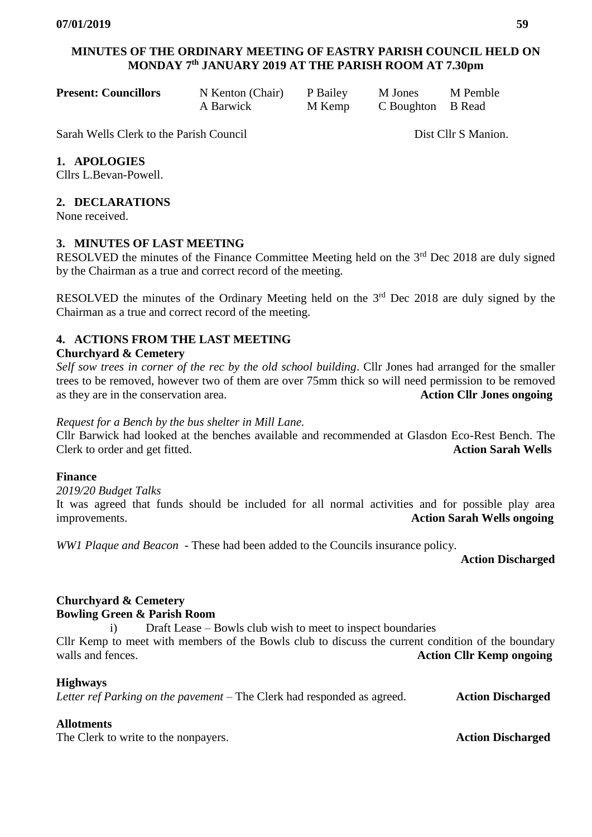# **MINUTES OF THE ORDINARY MEETING OF EASTRY PARISH COUNCIL HELD ON MONDAY 7 th JANUARY 2019 AT THE PARISH ROOM AT 7.30pm**

| <b>Present: Councillors</b> | N Kenton (Chair) P Bailey |        | M Jones           | M Pemble |
|-----------------------------|---------------------------|--------|-------------------|----------|
|                             | A Barwick                 | M Kemp | C Boughton B Read |          |

Sarah Wells Clerk to the Parish Council Dist Cllr S Manion.

## **1. APOLOGIES**

Cllrs L.Bevan-Powell.

#### **2. DECLARATIONS**

None received.

#### **3. MINUTES OF LAST MEETING**

RESOLVED the minutes of the Finance Committee Meeting held on the  $3<sup>rd</sup>$  Dec 2018 are duly signed by the Chairman as a true and correct record of the meeting.

RESOLVED the minutes of the Ordinary Meeting held on the  $3<sup>rd</sup>$  Dec 2018 are duly signed by the Chairman as a true and correct record of the meeting.

## **4. ACTIONS FROM THE LAST MEETING**

#### **Churchyard & Cemetery**

*Self sow trees in corner of the rec by the old school building*. Cllr Jones had arranged for the smaller trees to be removed, however two of them are over 75mm thick so will need permission to be removed as they are in the conservation area. **Action Cllr Jones ongoing**

#### *Request for a Bench by the bus shelter in Mill Lane.*

Cllr Barwick had looked at the benches available and recommended at Glasdon Eco-Rest Bench. The Clerk to order and get fitted.

#### **Finance**

*2019/20 Budget Talks* 

It was agreed that funds should be included for all normal activities and for possible play area improvements. **Action Sarah Wells ongoing**

*WW1 Plaque and Beacon* - These had been added to the Councils insurance policy.

**Action Discharged**

#### **Churchyard & Cemetery Bowling Green & Parish Room**

i) Draft Lease – Bowls club wish to meet to inspect boundaries

Cllr Kemp to meet with members of the Bowls club to discuss the current condition of the boundary walls and fences. **Action Cllr Kemp ongoing**

#### **Highways**

*Letter ref Parking on the pavement* – The Clerk had responded as agreed. **Action Discharged**

## **Allotments**

The Clerk to write to the nonpayers. **Action Discharged**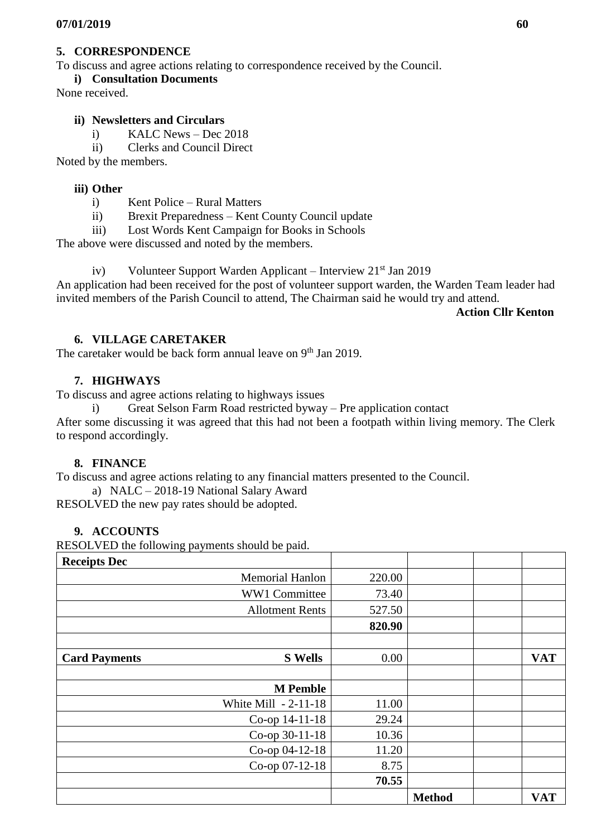#### **5. CORRESPONDENCE**

To discuss and agree actions relating to correspondence received by the Council.

**i) Consultation Documents** 

None received.

#### **ii) Newsletters and Circulars**

i) KALC News – Dec 2018

ii) Clerks and Council Direct

Noted by the members.

#### **iii) Other**

i) Kent Police – Rural Matters

ii) Brexit Preparedness – Kent County Council update

iii) Lost Words Kent Campaign for Books in Schools

The above were discussed and noted by the members.

iv) Volunteer Support Warden Applicant – Interview  $21<sup>st</sup>$  Jan 2019

An application had been received for the post of volunteer support warden, the Warden Team leader had invited members of the Parish Council to attend, The Chairman said he would try and attend.

 **Action Cllr Kenton** 

## **6. VILLAGE CARETAKER**

The caretaker would be back form annual leave on 9<sup>th</sup> Jan 2019.

## **7. HIGHWAYS**

To discuss and agree actions relating to highways issues

i) Great Selson Farm Road restricted byway – Pre application contact After some discussing it was agreed that this had not been a footpath within living memory. The Clerk to respond accordingly.

## **8. FINANCE**

To discuss and agree actions relating to any financial matters presented to the Council.

a) NALC – 2018-19 National Salary Award

RESOLVED the new pay rates should be adopted.

## **9. ACCOUNTS**

RESOLVED the following payments should be paid.

| <b>Receipts Dec</b>                    |        |               |            |
|----------------------------------------|--------|---------------|------------|
| <b>Memorial Hanlon</b>                 | 220.00 |               |            |
| WW1 Committee                          | 73.40  |               |            |
| <b>Allotment Rents</b>                 | 527.50 |               |            |
|                                        | 820.90 |               |            |
|                                        |        |               |            |
| <b>S</b> Wells<br><b>Card Payments</b> | 0.00   |               | <b>VAT</b> |
| <b>M</b> Pemble                        |        |               |            |
| White Mill $-2-11-18$                  | 11.00  |               |            |
| Co-op 14-11-18                         | 29.24  |               |            |
| Co-op 30-11-18                         | 10.36  |               |            |
| Co-op 04-12-18                         | 11.20  |               |            |
| Co-op 07-12-18                         | 8.75   |               |            |
|                                        | 70.55  |               |            |
|                                        |        | <b>Method</b> | <b>VAT</b> |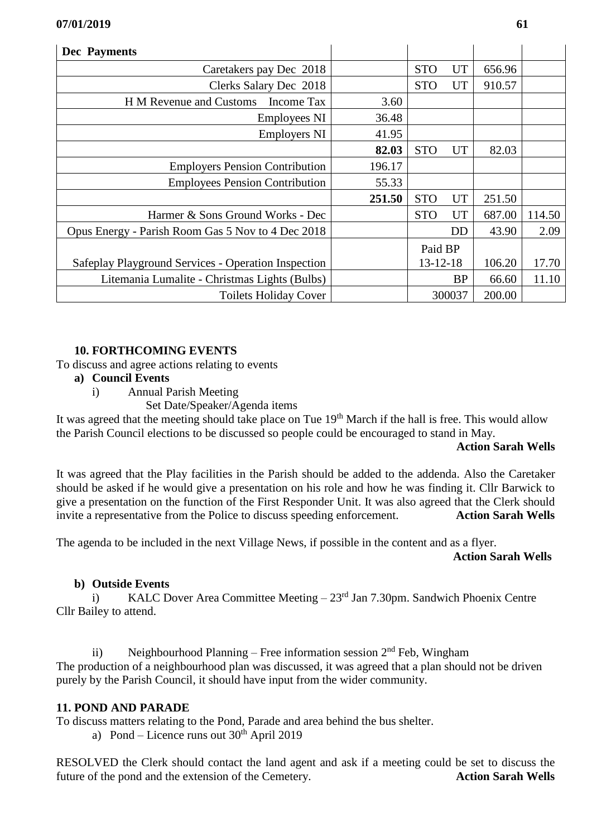| <b>Dec</b> Payments                                 |        |                |           |        |        |
|-----------------------------------------------------|--------|----------------|-----------|--------|--------|
| Caretakers pay Dec 2018                             |        | <b>STO</b>     | UT        | 656.96 |        |
| Clerks Salary Dec 2018                              |        | <b>STO</b>     | UT        | 910.57 |        |
| H M Revenue and Customs Income Tax                  | 3.60   |                |           |        |        |
| Employees NI                                        | 36.48  |                |           |        |        |
| <b>Employers NI</b>                                 | 41.95  |                |           |        |        |
|                                                     | 82.03  | <b>STO</b>     | <b>UT</b> | 82.03  |        |
| <b>Employers Pension Contribution</b>               | 196.17 |                |           |        |        |
| <b>Employees Pension Contribution</b>               | 55.33  |                |           |        |        |
|                                                     | 251.50 | <b>STO</b>     | <b>UT</b> | 251.50 |        |
| Harmer & Sons Ground Works - Dec                    |        | <b>STO</b>     | <b>UT</b> | 687.00 | 114.50 |
| Opus Energy - Parish Room Gas 5 Nov to 4 Dec 2018   |        |                | <b>DD</b> | 43.90  | 2.09   |
|                                                     |        | Paid BP        |           |        |        |
| Safeplay Playground Services - Operation Inspection |        | $13 - 12 - 18$ |           | 106.20 | 17.70  |
| Litemania Lumalite - Christmas Lights (Bulbs)       |        | <b>BP</b>      |           | 66.60  | 11.10  |
| <b>Toilets Holiday Cover</b>                        |        |                | 300037    | 200.00 |        |

#### **10. FORTHCOMING EVENTS**

- To discuss and agree actions relating to events
	- **a) Council Events**
		- i) Annual Parish Meeting
			- Set Date/Speaker/Agenda items

It was agreed that the meeting should take place on Tue 19<sup>th</sup> March if the hall is free. This would allow the Parish Council elections to be discussed so people could be encouraged to stand in May.

#### **Action Sarah Wells**

It was agreed that the Play facilities in the Parish should be added to the addenda. Also the Caretaker should be asked if he would give a presentation on his role and how he was finding it. Cllr Barwick to give a presentation on the function of the First Responder Unit. It was also agreed that the Clerk should invite a representative from the Police to discuss speeding enforcement. **Action Sarah Wells**

The agenda to be included in the next Village News, if possible in the content and as a flyer.

#### **Action Sarah Wells**

## **b) Outside Events**

i) KALC Dover Area Committee Meeting  $-23<sup>rd</sup>$  Jan 7.30pm. Sandwich Phoenix Centre Cllr Bailey to attend.

ii) Neighbourhood Planning – Free information session  $2<sup>nd</sup>$  Feb, Wingham The production of a neighbourhood plan was discussed, it was agreed that a plan should not be driven purely by the Parish Council, it should have input from the wider community.

## **11. POND AND PARADE**

To discuss matters relating to the Pond, Parade and area behind the bus shelter.

a) Pond – Licence runs out  $30<sup>th</sup>$  April 2019

RESOLVED the Clerk should contact the land agent and ask if a meeting could be set to discuss the future of the pond and the extension of the Cemetery. **Action Sarah Wells**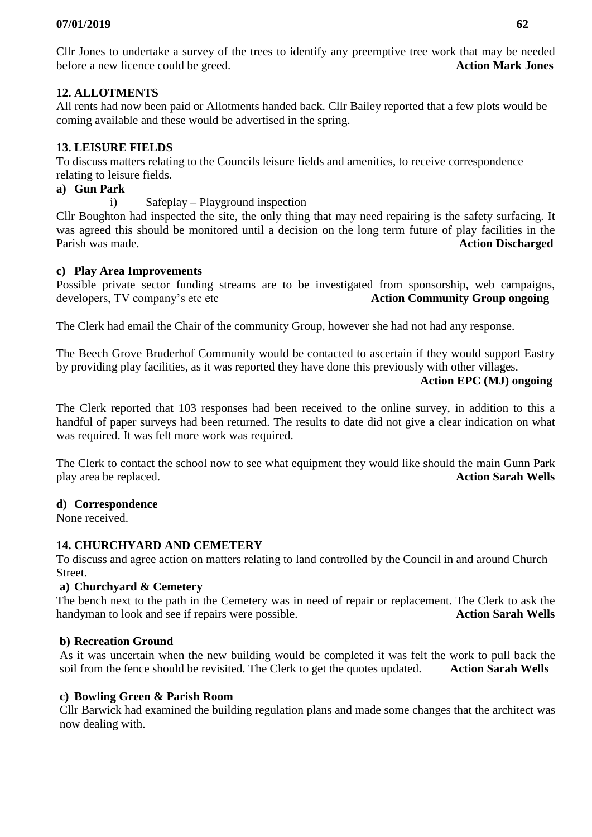Cllr Jones to undertake a survey of the trees to identify any preemptive tree work that may be needed before a new licence could be greed. **Action Mark Jones**

# **12. ALLOTMENTS**

All rents had now been paid or Allotments handed back. Cllr Bailey reported that a few plots would be coming available and these would be advertised in the spring.

# **13. LEISURE FIELDS**

To discuss matters relating to the Councils leisure fields and amenities, to receive correspondence relating to leisure fields.

# **a) Gun Park**

i) Safeplay – Playground inspection

Cllr Boughton had inspected the site, the only thing that may need repairing is the safety surfacing. It was agreed this should be monitored until a decision on the long term future of play facilities in the Parish was made. **Action Discharged**

# **c) Play Area Improvements**

Possible private sector funding streams are to be investigated from sponsorship, web campaigns, developers, TV company's etc etc **Action Community Group ongoing**  $\overline{A}$ 

The Clerk had email the Chair of the community Group, however she had not had any response.

The Beech Grove Bruderhof Community would be contacted to ascertain if they would support Eastry by providing play facilities, as it was reported they have done this previously with other villages.

# **Action EPC (MJ) ongoing**

The Clerk reported that 103 responses had been received to the online survey, in addition to this a handful of paper surveys had been returned. The results to date did not give a clear indication on what was required. It was felt more work was required.

The Clerk to contact the school now to see what equipment they would like should the main Gunn Park play area be replaced. **Action Sarah Wells**

## **d) Correspondence**

None received.

# **14. CHURCHYARD AND CEMETERY**

To discuss and agree action on matters relating to land controlled by the Council in and around Church Street.

# **a) Churchyard & Cemetery**

The bench next to the path in the Cemetery was in need of repair or replacement. The Clerk to ask the handyman to look and see if repairs were possible. **Action Sarah Wells**

## **b) Recreation Ground**

As it was uncertain when the new building would be completed it was felt the work to pull back the soil from the fence should be revisited. The Clerk to get the quotes updated. **Action Sarah Wells**

## **c) Bowling Green & Parish Room**

Cllr Barwick had examined the building regulation plans and made some changes that the architect was now dealing with.